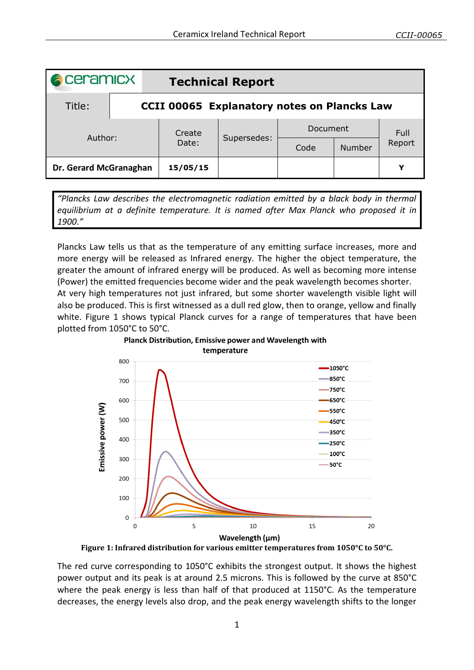| <b>A</b> ceramicx      |  | <b>Technical Report</b>                            |             |          |               |        |  |
|------------------------|--|----------------------------------------------------|-------------|----------|---------------|--------|--|
| Title:                 |  | <b>CCII 00065 Explanatory notes on Plancks Law</b> |             |          |               |        |  |
| Author:                |  | Create<br>Date:                                    | Supersedes: | Document |               | Full   |  |
|                        |  |                                                    |             | Code     | <b>Number</b> | Report |  |
| Dr. Gerard McGranaghan |  | 15/05/15                                           |             |          |               | Y      |  |

*"Plancks Law describes the electromagnetic radiation emitted by a black body in thermal equilibrium at a definite temperature. It is named after Max Planck who proposed it in 1900."*

Plancks Law tells us that as the temperature of any emitting surface increases, more and more energy will be released as Infrared energy. The higher the object temperature, the greater the amount of infrared energy will be produced. As well as becoming more intense (Power) the emitted frequencies become wider and the peak wavelength becomes shorter. At very high temperatures not just infrared, but some shorter wavelength visible light will also be produced. This is first witnessed as a dull red glow, then to orange, yellow and finally white. [Figure 1](#page-0-0) shows typical Planck curves for a range of temperatures that have been plotted from 1050°C to 50°C.



**Figure 1: Infrared distribution for various emitter temperatures from 1050°C to 50°C.**

<span id="page-0-0"></span>The red curve corresponding to 1050°C exhibits the strongest output. It shows the highest power output and its peak is at around 2.5 microns. This is followed by the curve at 850°C where the peak energy is less than half of that produced at 1150°C. As the temperature decreases, the energy levels also drop, and the peak energy wavelength shifts to the longer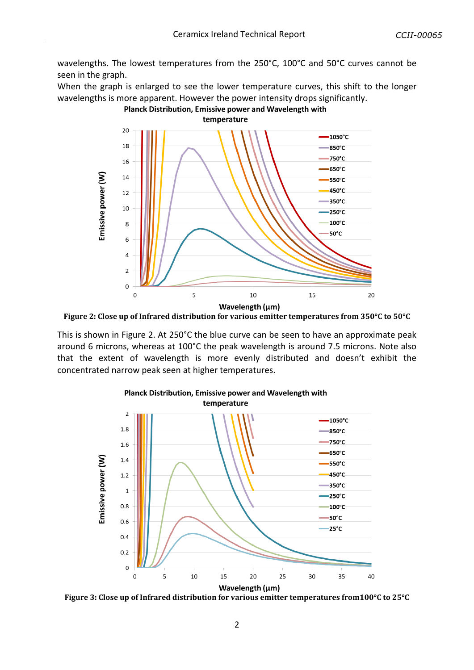wavelengths. The lowest temperatures from the 250°C, 100°C and 50°C curves cannot be seen in the graph.

When the graph is enlarged to see the lower temperature curves, this shift to the longer wavelengths is more apparent. However the power intensity drops significantly.

Planck Distribution, Emissive power and Wavelength with

temperature  $20$  $-1050^{\circ}$ C  $18$ 850°C  $-750^{\circ}$ C 16 650°C Emissive power (W) 14  $-550^{\circ}$ C 450°C  $12$ -350°C 10  $-250^{\circ}$ C 100°C 8  $50^{\circ}$ C 6  $\overline{4}$  $\mathcal{P}$  $\mathbf 0$  $\mathbf 0$  $\overline{5}$ 10 15 20 Wavelength (µm)

<span id="page-1-0"></span>**Figure 2: Close up of Infrared distribution for various emitter temperatures from 350°C to 50°C**

This is shown in [Figure 2.](#page-1-0) At 250°C the blue curve can be seen to have an approximate peak around 6 microns, whereas at 100°C the peak wavelength is around 7.5 microns. Note also that the extent of wavelength is more evenly distributed and doesn't exhibit the concentrated narrow peak seen at higher temperatures.



Planck Distribution, Emissive power and Wavelength with

<span id="page-1-1"></span>**Figure 3: Close up of Infrared distribution for various emitter temperatures from100°C to 25°C**